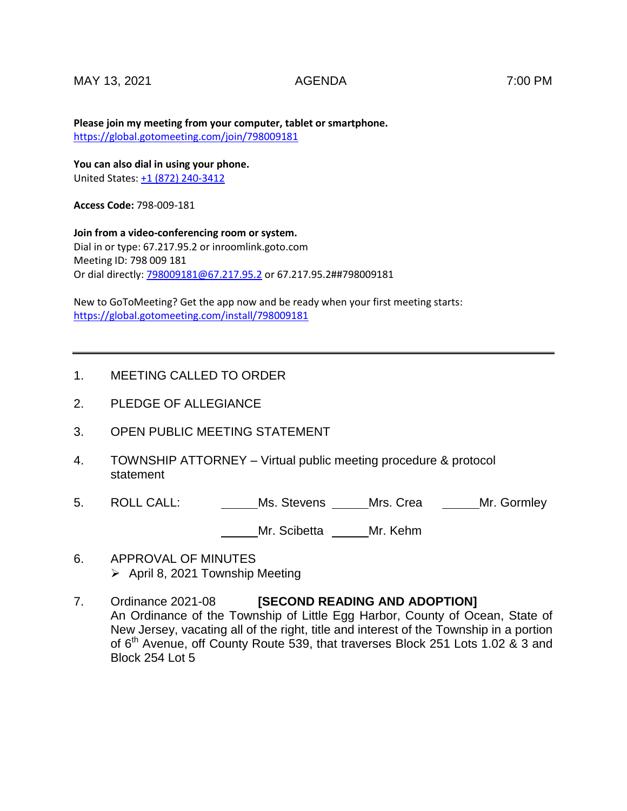## MAY 13, 2021 AGENDA 7:00 PM

**Please join my meeting from your computer, tablet or smartphone.**  <https://global.gotomeeting.com/join/798009181>

**You can also dial in using your phone.** United States[: +1 \(872\) 240-3412](tel:+18722403412,,798009181)

**Access Code:** 798-009-181

**Join from a video-conferencing room or system.** Dial in or type: 67.217.95.2 or inroomlink.goto.com Meeting ID: 798 009 181 Or dial directly: [798009181@67.217.95.2](mailto:798009181@67.217.95.2) or 67.217.95.2##798009181

New to GoToMeeting? Get the app now and be ready when your first meeting starts: <https://global.gotomeeting.com/install/798009181>

## 1. MEETING CALLED TO ORDER

- 2. PLEDGE OF ALLEGIANCE
- 3. OPEN PUBLIC MEETING STATEMENT
- 4. TOWNSHIP ATTORNEY Virtual public meeting procedure & protocol statement
- 5. ROLL CALL: Ms. Stevens Mrs. Crea Mr. Gormley

Mr. Scibetta Mr. Kehm

- 6. APPROVAL OF MINUTES  $\triangleright$  April 8, 2021 Township Meeting
- 7. Ordinance 2021-08 **[SECOND READING AND ADOPTION]** An Ordinance of the Township of Little Egg Harbor, County of Ocean, State of New Jersey, vacating all of the right, title and interest of the Township in a portion of 6<sup>th</sup> Avenue, off County Route 539, that traverses Block 251 Lots 1.02 & 3 and Block 254 Lot 5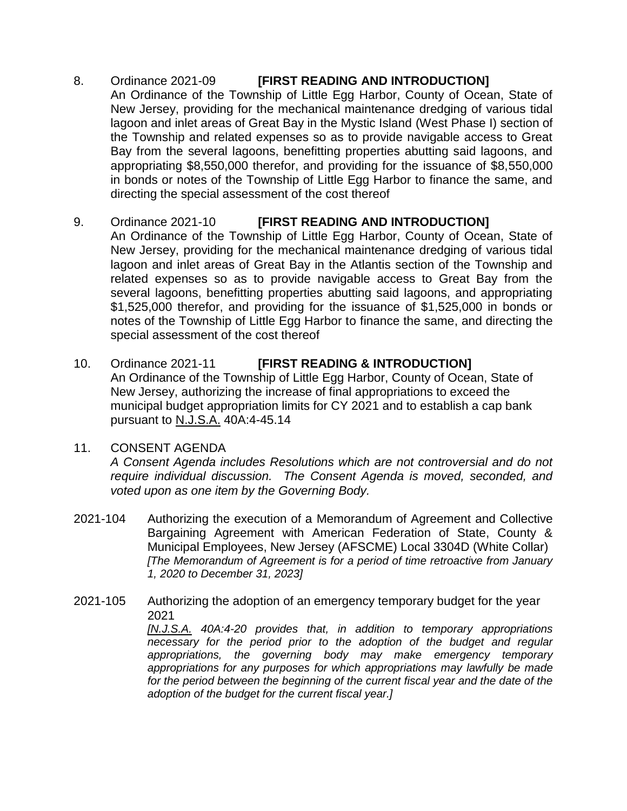8. Ordinance 2021-09 **[FIRST READING AND INTRODUCTION]** An Ordinance of the Township of Little Egg Harbor, County of Ocean, State of New Jersey, providing for the mechanical maintenance dredging of various tidal lagoon and inlet areas of Great Bay in the Mystic Island (West Phase I) section of the Township and related expenses so as to provide navigable access to Great Bay from the several lagoons, benefitting properties abutting said lagoons, and appropriating \$8,550,000 therefor, and providing for the issuance of \$8,550,000 in bonds or notes of the Township of Little Egg Harbor to finance the same, and directing the special assessment of the cost thereof

## 9. Ordinance 2021-10 **[FIRST READING AND INTRODUCTION]**

- An Ordinance of the Township of Little Egg Harbor, County of Ocean, State of New Jersey, providing for the mechanical maintenance dredging of various tidal lagoon and inlet areas of Great Bay in the Atlantis section of the Township and related expenses so as to provide navigable access to Great Bay from the several lagoons, benefitting properties abutting said lagoons, and appropriating \$1,525,000 therefor, and providing for the issuance of \$1,525,000 in bonds or notes of the Township of Little Egg Harbor to finance the same, and directing the special assessment of the cost thereof
- 10. Ordinance 2021-11 **[FIRST READING & INTRODUCTION]** An Ordinance of the Township of Little Egg Harbor, County of Ocean, State of New Jersey, authorizing the increase of final appropriations to exceed the municipal budget appropriation limits for CY 2021 and to establish a cap bank pursuant to N.J.S.A. 40A:4-45.14
- 11. CONSENT AGENDA

*A Consent Agenda includes Resolutions which are not controversial and do not require individual discussion. The Consent Agenda is moved, seconded, and voted upon as one item by the Governing Body.* 

- 2021-104 Authorizing the execution of a Memorandum of Agreement and Collective Bargaining Agreement with American Federation of State, County & Municipal Employees, New Jersey (AFSCME) Local 3304D (White Collar) *[The Memorandum of Agreement is for a period of time retroactive from January 1, 2020 to December 31, 2023]*
- 2021-105 Authorizing the adoption of an emergency temporary budget for the year 2021

*[N.J.S.A. 40A:4-20 provides that, in addition to temporary appropriations necessary for the period prior to the adoption of the budget and regular appropriations, the governing body may make emergency temporary appropriations for any purposes for which appropriations may lawfully be made*  for the period between the beginning of the current fiscal year and the date of the *adoption of the budget for the current fiscal year.]*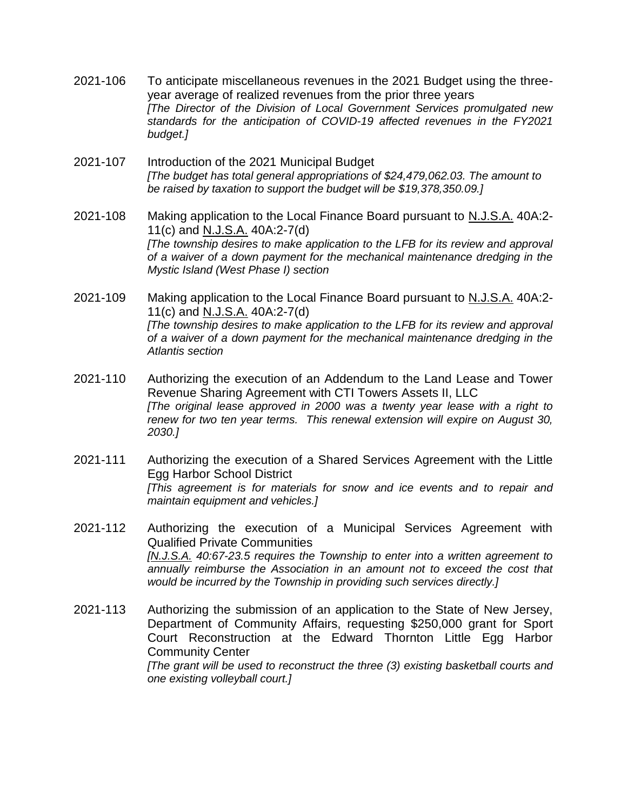- 2021-106 To anticipate miscellaneous revenues in the 2021 Budget using the threeyear average of realized revenues from the prior three years *[The Director of the Division of Local Government Services promulgated new standards for the anticipation of COVID-19 affected revenues in the FY2021 budget.]*
- 2021-107 Introduction of the 2021 Municipal Budget *[The budget has total general appropriations of \$24,479,062.03. The amount to be raised by taxation to support the budget will be \$19,378,350.09.]*
- 2021-108 Making application to the Local Finance Board pursuant to N.J.S.A. 40A:2- 11(c) and N.J.S.A. 40A:2-7(d) *[The township desires to make application to the LFB for its review and approval of a waiver of a down payment for the mechanical maintenance dredging in the Mystic Island (West Phase I) section*
- 2021-109 Making application to the Local Finance Board pursuant to N.J.S.A. 40A:2- 11(c) and N.J.S.A. 40A:2-7(d) *[The township desires to make application to the LFB for its review and approval of a waiver of a down payment for the mechanical maintenance dredging in the Atlantis section*
- 2021-110 Authorizing the execution of an Addendum to the Land Lease and Tower Revenue Sharing Agreement with CTI Towers Assets II, LLC *[The original lease approved in 2000 was a twenty year lease with a right to renew for two ten year terms. This renewal extension will expire on August 30, 2030.]*
- 2021-111 Authorizing the execution of a Shared Services Agreement with the Little Egg Harbor School District *[This agreement is for materials for snow and ice events and to repair and maintain equipment and vehicles.]*
- 2021-112 Authorizing the execution of a Municipal Services Agreement with Qualified Private Communities *[N.J.S.A. 40:67-23.5 requires the Township to enter into a written agreement to annually reimburse the Association in an amount not to exceed the cost that would be incurred by the Township in providing such services directly.]*
- 2021-113 Authorizing the submission of an application to the State of New Jersey, Department of Community Affairs, requesting \$250,000 grant for Sport Court Reconstruction at the Edward Thornton Little Egg Harbor Community Center *[The grant will be used to reconstruct the three (3) existing basketball courts and one existing volleyball court.]*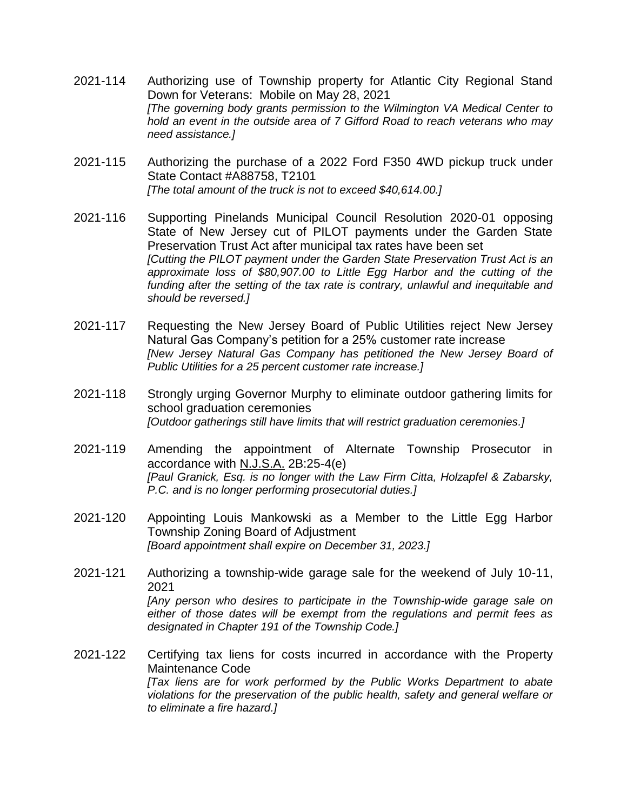- 2021-114 Authorizing use of Township property for Atlantic City Regional Stand Down for Veterans: Mobile on May 28, 2021 *[The governing body grants permission to the Wilmington VA Medical Center to hold an event in the outside area of 7 Gifford Road to reach veterans who may need assistance.]*
- 2021-115 Authorizing the purchase of a 2022 Ford F350 4WD pickup truck under State Contact #A88758, T2101 *[The total amount of the truck is not to exceed \$40,614.00.]*
- 2021-116 Supporting Pinelands Municipal Council Resolution 2020-01 opposing State of New Jersey cut of PILOT payments under the Garden State Preservation Trust Act after municipal tax rates have been set *[Cutting the PILOT payment under the Garden State Preservation Trust Act is an approximate loss of \$80,907.00 to Little Egg Harbor and the cutting of the funding after the setting of the tax rate is contrary, unlawful and inequitable and should be reversed.]*
- 2021-117 Requesting the New Jersey Board of Public Utilities reject New Jersey Natural Gas Company's petition for a 25% customer rate increase *[New Jersey Natural Gas Company has petitioned the New Jersey Board of Public Utilities for a 25 percent customer rate increase.]*
- 2021-118 Strongly urging Governor Murphy to eliminate outdoor gathering limits for school graduation ceremonies *[Outdoor gatherings still have limits that will restrict graduation ceremonies.]*
- 2021-119 Amending the appointment of Alternate Township Prosecutor in accordance with N.J.S.A. 2B:25-4(e) *[Paul Granick, Esq. is no longer with the Law Firm Citta, Holzapfel & Zabarsky, P.C. and is no longer performing prosecutorial duties.]*
- 2021-120 Appointing Louis Mankowski as a Member to the Little Egg Harbor Township Zoning Board of Adjustment *[Board appointment shall expire on December 31, 2023.]*
- 2021-121 Authorizing a township-wide garage sale for the weekend of July 10-11, 2021 *[Any person who desires to participate in the Township-wide garage sale on either of those dates will be exempt from the regulations and permit fees as designated in Chapter 191 of the Township Code.]*
- 2021-122 Certifying tax liens for costs incurred in accordance with the Property Maintenance Code *[Tax liens are for work performed by the Public Works Department to abate violations for the preservation of the public health, safety and general welfare or to eliminate a fire hazard.]*